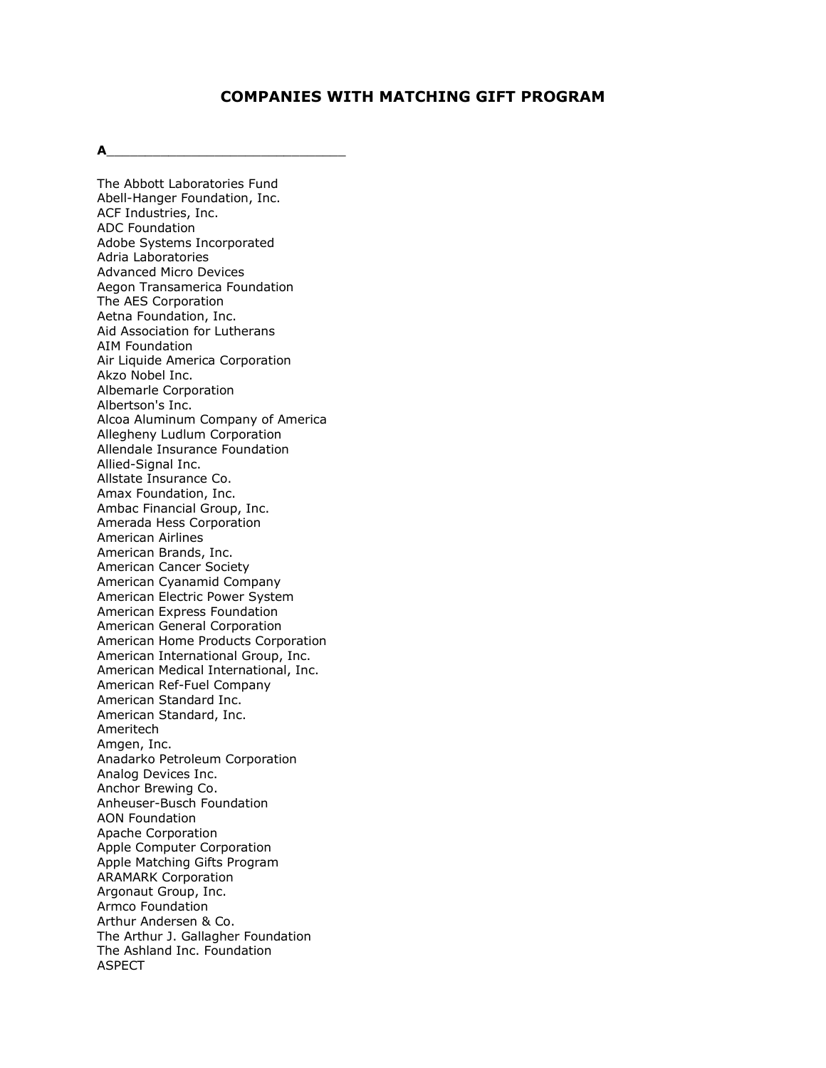# **COMPANIES WITH MATCHING GIFT PROGRAM**

**A**\_\_\_\_\_\_\_\_\_\_\_\_\_\_\_\_\_\_\_\_\_\_\_\_\_\_\_\_\_\_\_

The Abbott Laboratories Fund Abell-Hanger Foundation, Inc. ACF Industries, Inc. ADC Foundation Adobe Systems Incorporated Adria Laboratories Advanced Micro Devices Aegon Transamerica Foundation The AES Corporation Aetna Foundation, Inc. Aid Association for Lutherans AIM Foundation Air Liquide America Corporation Akzo Nobel Inc. Albemarle Corporation Albertson's Inc. Alcoa Aluminum Company of America Allegheny Ludlum Corporation Allendale Insurance Foundation Allied-Signal Inc. Allstate Insurance Co. Amax Foundation, Inc. Ambac Financial Group, Inc. Amerada Hess Corporation American Airlines American Brands, Inc. American Cancer Society American Cyanamid Company American Electric Power System American Express Foundation American General Corporation American Home Products Corporation American International Group, Inc. American Medical International, Inc. American Ref-Fuel Company American Standard Inc. American Standard, Inc. Ameritech Amgen, Inc. Anadarko Petroleum Corporation Analog Devices Inc. Anchor Brewing Co. Anheuser-Busch Foundation AON Foundation Apache Corporation Apple Computer Corporation Apple Matching Gifts Program ARAMARK Corporation Argonaut Group, Inc. Armco Foundation Arthur Andersen & Co. The Arthur J. Gallagher Foundation The Ashland Inc. Foundation ASPECT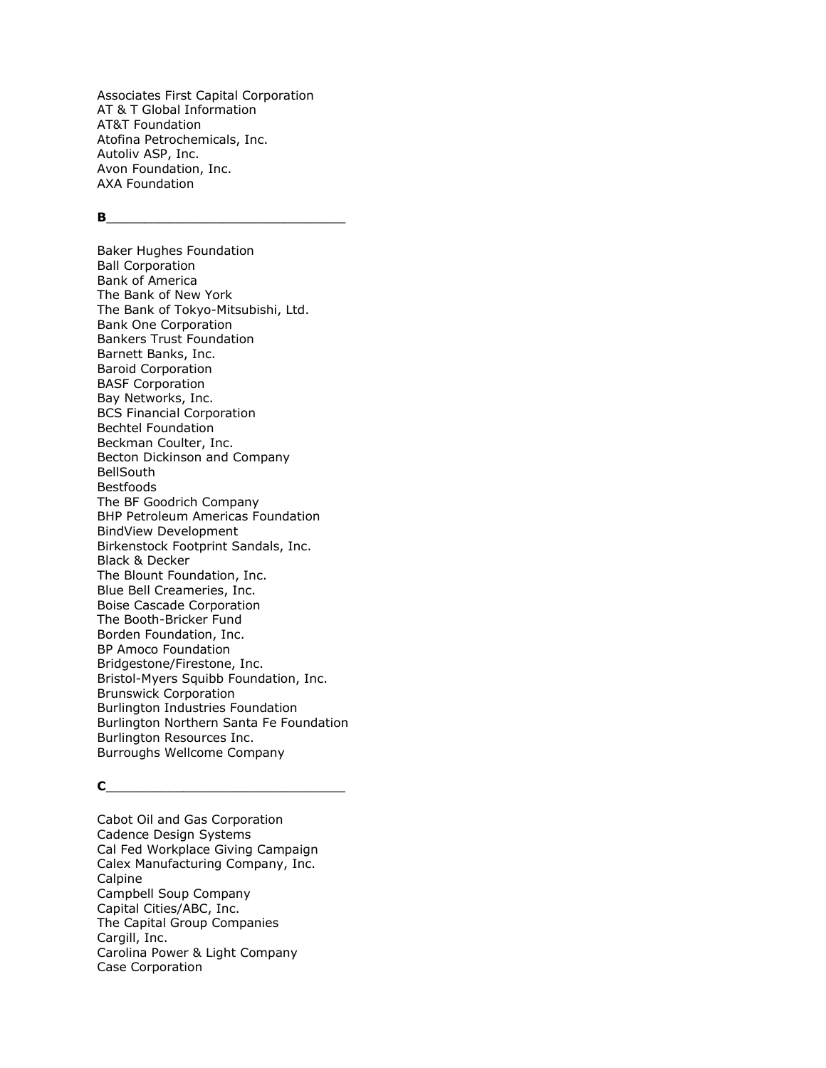Associates First Capital Corporation AT & T Global Information AT&T Foundation Atofina Petrochemicals, Inc. Autoliv ASP, Inc. Avon Foundation, Inc. AXA Foundation

#### $\mathbf{B}$

Baker Hughes Foundation Ball Corporation Bank of America The Bank of New York The Bank of Tokyo-Mitsubishi, Ltd. Bank One Corporation Bankers Trust Foundation Barnett Banks, Inc. Baroid Corporation BASF Corporation Bay Networks, Inc. BCS Financial Corporation Bechtel Foundation Beckman Coulter, Inc. Becton Dickinson and Company BellSouth Bestfoods The BF Goodrich Company BHP Petroleum Americas Foundation BindView Development Birkenstock Footprint Sandals, Inc. Black & Decker The Blount Foundation, Inc. Blue Bell Creameries, Inc. Boise Cascade Corporation The Booth-Bricker Fund Borden Foundation, Inc. BP Amoco Foundation Bridgestone/Firestone, Inc. Bristol-Myers Squibb Foundation, Inc. Brunswick Corporation Burlington Industries Foundation Burlington Northern Santa Fe Foundation Burlington Resources Inc. Burroughs Wellcome Company

#### **C**\_\_\_\_\_\_\_\_\_\_\_\_\_\_\_\_\_\_\_\_\_\_\_\_\_\_\_\_\_\_\_

Cabot Oil and Gas Corporation Cadence Design Systems Cal Fed Workplace Giving Campaign Calex Manufacturing Company, Inc. Calpine Campbell Soup Company Capital Cities/ABC, Inc. The Capital Group Companies Cargill, Inc. Carolina Power & Light Company Case Corporation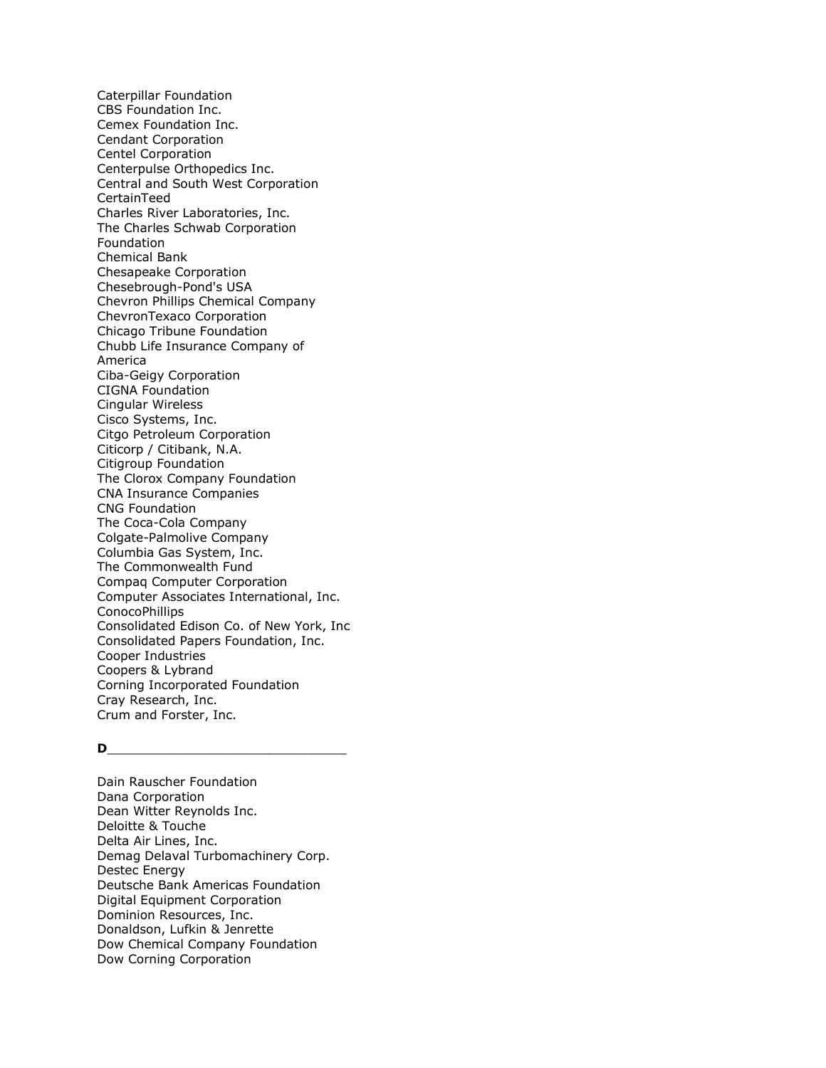Caterpillar Foundation CBS Foundation Inc. Cemex Foundation Inc. Cendant Corporation Centel Corporation Centerpulse Orthopedics Inc. Central and South West Corporation CertainTeed Charles River Laboratories, Inc. The Charles Schwab Corporation Foundation Chemical Bank Chesapeake Corporation Chesebrough-Pond's USA Chevron Phillips Chemical Company ChevronTexaco Corporation Chicago Tribune Foundation Chubb Life Insurance Company of America Ciba-Geigy Corporation CIGNA Foundation Cingular Wireless Cisco Systems, Inc. Citgo Petroleum Corporation Citicorp / Citibank, N.A. Citigroup Foundation The Clorox Company Foundation CNA Insurance Companies CNG Foundation The Coca-Cola Company Colgate-Palmolive Company Columbia Gas System, Inc. The Commonwealth Fund Compaq Computer Corporation Computer Associates International, Inc. ConocoPhillips Consolidated Edison Co. of New York, Inc Consolidated Papers Foundation, Inc. Cooper Industries Coopers & Lybrand Corning Incorporated Foundation Cray Research, Inc. Crum and Forster, Inc.

## **D**\_\_\_\_\_\_\_\_\_\_\_\_\_\_\_\_\_\_\_\_\_\_\_\_\_\_\_\_\_\_\_

Dain Rauscher Foundation Dana Corporation Dean Witter Reynolds Inc. Deloitte & Touche Delta Air Lines, Inc. Demag Delaval Turbomachinery Corp. Destec Energy Deutsche Bank Americas Foundation Digital Equipment Corporation Dominion Resources, Inc. Donaldson, Lufkin & Jenrette Dow Chemical Company Foundation Dow Corning Corporation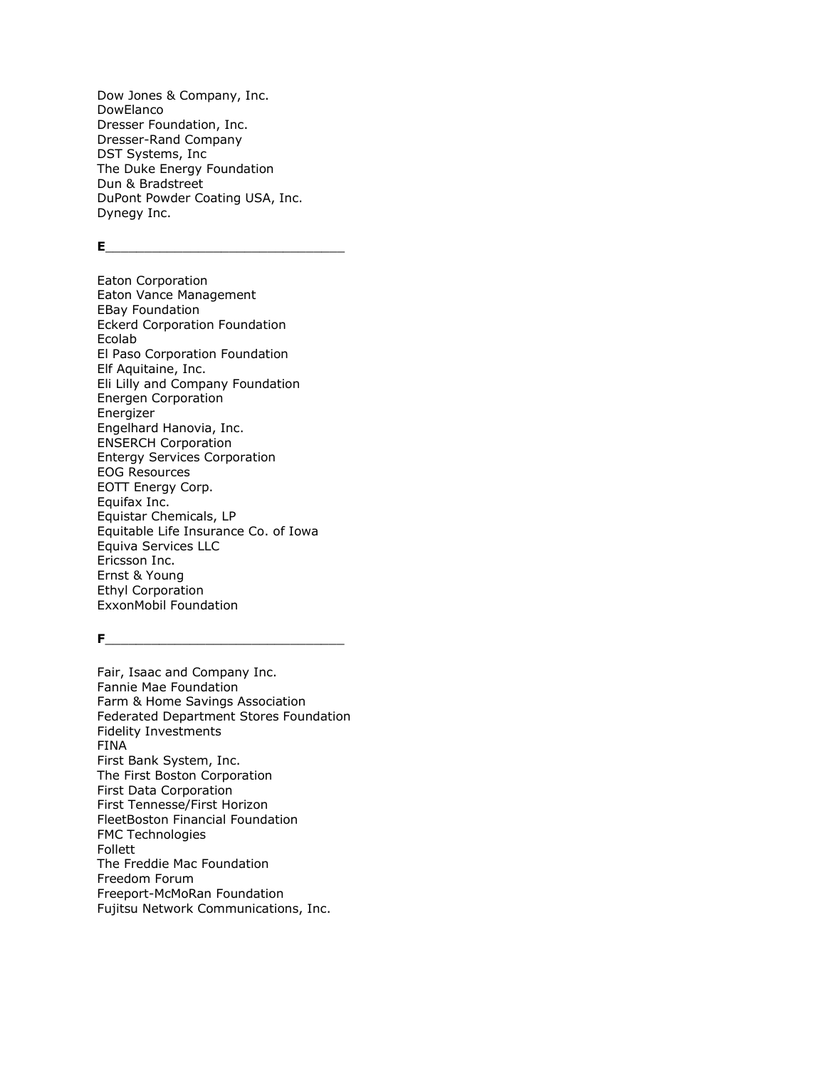Dow Jones & Company, Inc. DowElanco Dresser Foundation, Inc. Dresser-Rand Company DST Systems, Inc The Duke Energy Foundation Dun & Bradstreet DuPont Powder Coating USA, Inc. Dynegy Inc.

**E**\_\_\_\_\_\_\_\_\_\_\_\_\_\_\_\_\_\_\_\_\_\_\_\_\_\_\_\_\_\_\_

Eaton Corporation Eaton Vance Management EBay Foundation Eckerd Corporation Foundation Ecolab El Paso Corporation Foundation Elf Aquitaine, Inc. Eli Lilly and Company Foundation Energen Corporation Energizer Engelhard Hanovia, Inc. ENSERCH Corporation Entergy Services Corporation EOG Resources EOTT Energy Corp. Equifax Inc. Equistar Chemicals, LP Equitable Life Insurance Co. of Iowa Equiva Services LLC Ericsson Inc. Ernst & Young Ethyl Corporation ExxonMobil Foundation

**F**\_\_\_\_\_\_\_\_\_\_\_\_\_\_\_\_\_\_\_\_\_\_\_\_\_\_\_\_\_\_\_

Fair, Isaac and Company Inc. Fannie Mae Foundation Farm & Home Savings Association Federated Department Stores Foundation Fidelity Investments FINA First Bank System, Inc. The First Boston Corporation First Data Corporation First Tennesse/First Horizon FleetBoston Financial Foundation FMC Technologies Follett The Freddie Mac Foundation Freedom Forum Freeport-McMoRan Foundation Fujitsu Network Communications, Inc.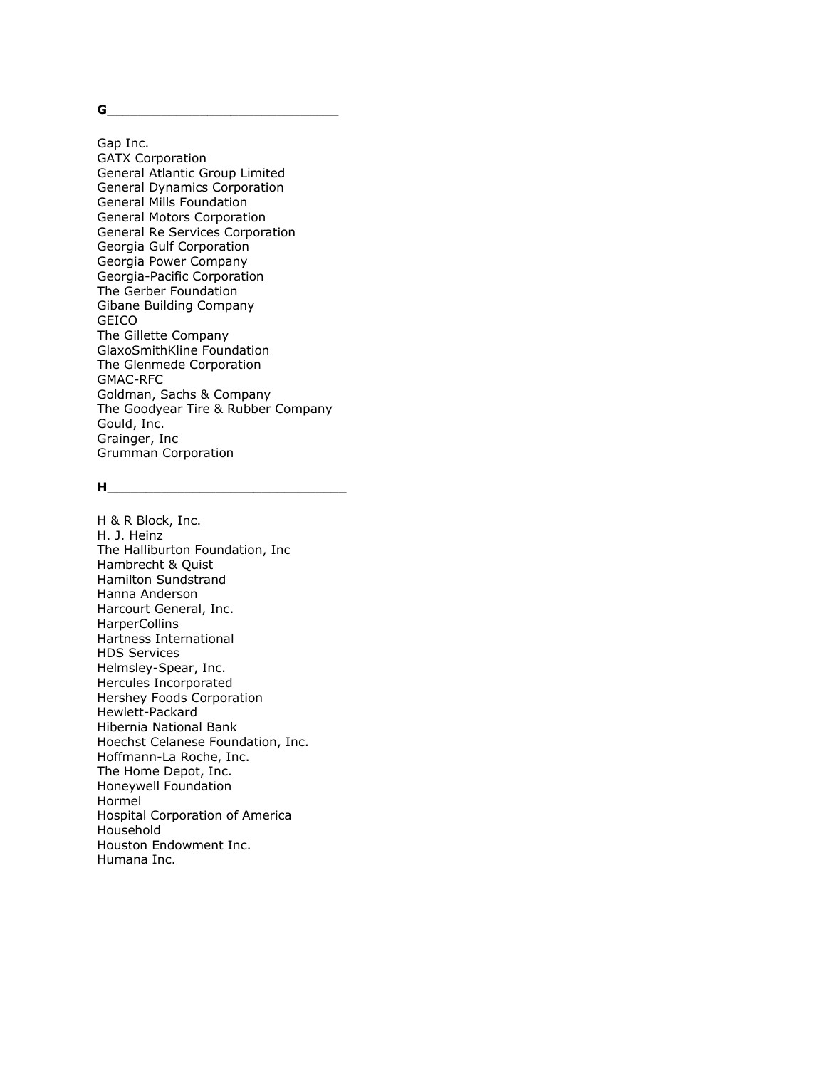**G**\_\_\_\_\_\_\_\_\_\_\_\_\_\_\_\_\_\_\_\_\_\_\_\_\_\_\_\_\_\_

Gap Inc. GATX Corporation General Atlantic Group Limited General Dynamics Corporation General Mills Foundation General Motors Corporation General Re Services Corporation Georgia Gulf Corporation Georgia Power Company Georgia-Pacific Corporation The Gerber Foundation Gibane Building Company GEICO The Gillette Company GlaxoSmithKline Foundation The Glenmede Corporation GMAC-RFC Goldman, Sachs & Company The Goodyear Tire & Rubber Company Gould, Inc. Grainger, Inc Grumman Corporation

#### **H**\_\_\_\_\_\_\_\_\_\_\_\_\_\_\_\_\_\_\_\_\_\_\_\_\_\_\_\_\_\_\_

H & R Block, Inc. H. J. Heinz The Halliburton Foundation, Inc Hambrecht & Quist Hamilton Sundstrand Hanna Anderson Harcourt General, Inc. **HarperCollins** Hartness International HDS Services Helmsley-Spear, Inc. Hercules Incorporated Hershey Foods Corporation Hewlett-Packard Hibernia National Bank Hoechst Celanese Foundation, Inc. Hoffmann-La Roche, Inc. The Home Depot, Inc. Honeywell Foundation Hormel Hospital Corporation of America Household Houston Endowment Inc. Humana Inc.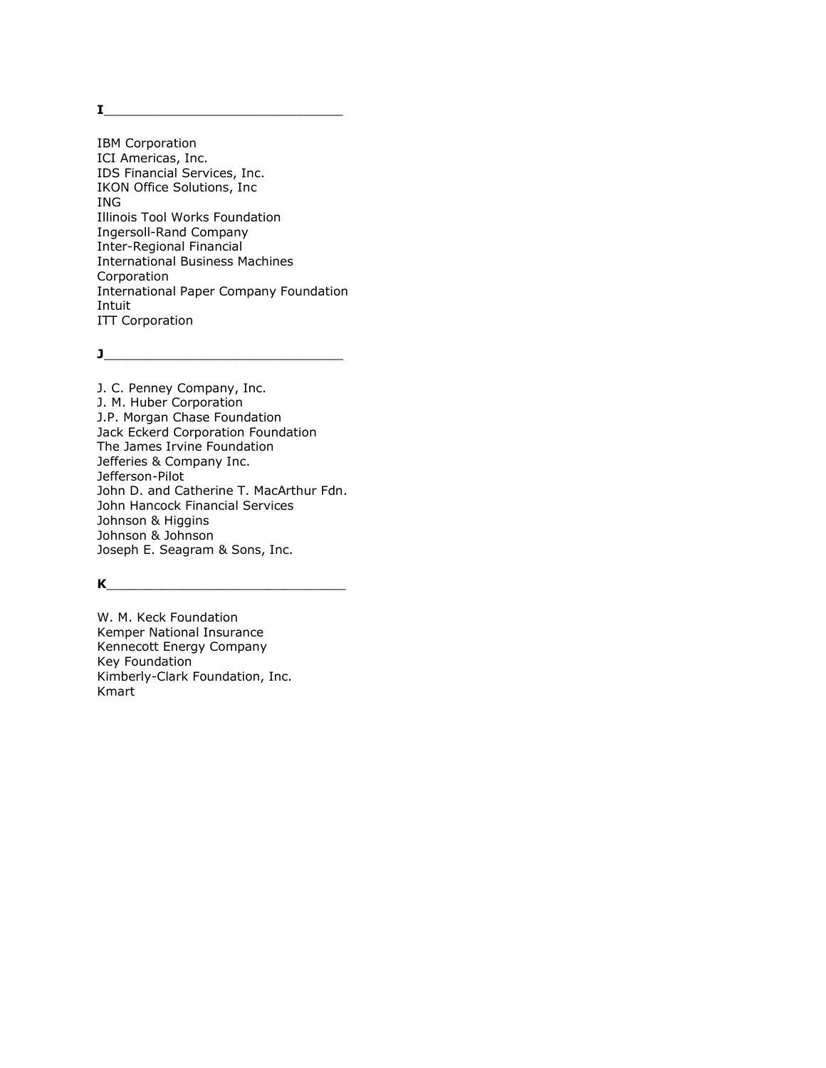$\mathbf{I}$ 

IBM Corporation ICI Americas, Inc. IDS Financial Services, Inc. IKON Office Solutions, Inc ING Illinois Tool Works Foundation Ingersoll-Rand Company Inter-Regional Financial International Business Machines Corporation International Paper Company Foundation Intuit ITT Corporation

**J**\_\_\_\_\_\_\_\_\_\_\_\_\_\_\_\_\_\_\_\_\_\_\_\_\_\_\_\_\_\_\_

J. C. Penney Company, Inc. J. M. Huber Corporation J.P. Morgan Chase Foundation Jack Eckerd Corporation Foundation The James Irvine Foundation Jefferies & Company Inc. Jefferson-Pilot John D. and Catherine T. MacArthur Fdn. John Hancock Financial Services Johnson & Higgins Johnson & Johnson Joseph E. Seagram & Sons, Inc.

# **K**\_\_\_\_\_\_\_\_\_\_\_\_\_\_\_\_\_\_\_\_\_\_\_\_\_\_\_\_\_\_\_

W. M. Keck Foundation Kemper National Insurance Kennecott Energy Company Key Foundation Kimberly-Clark Foundation, Inc. Kmart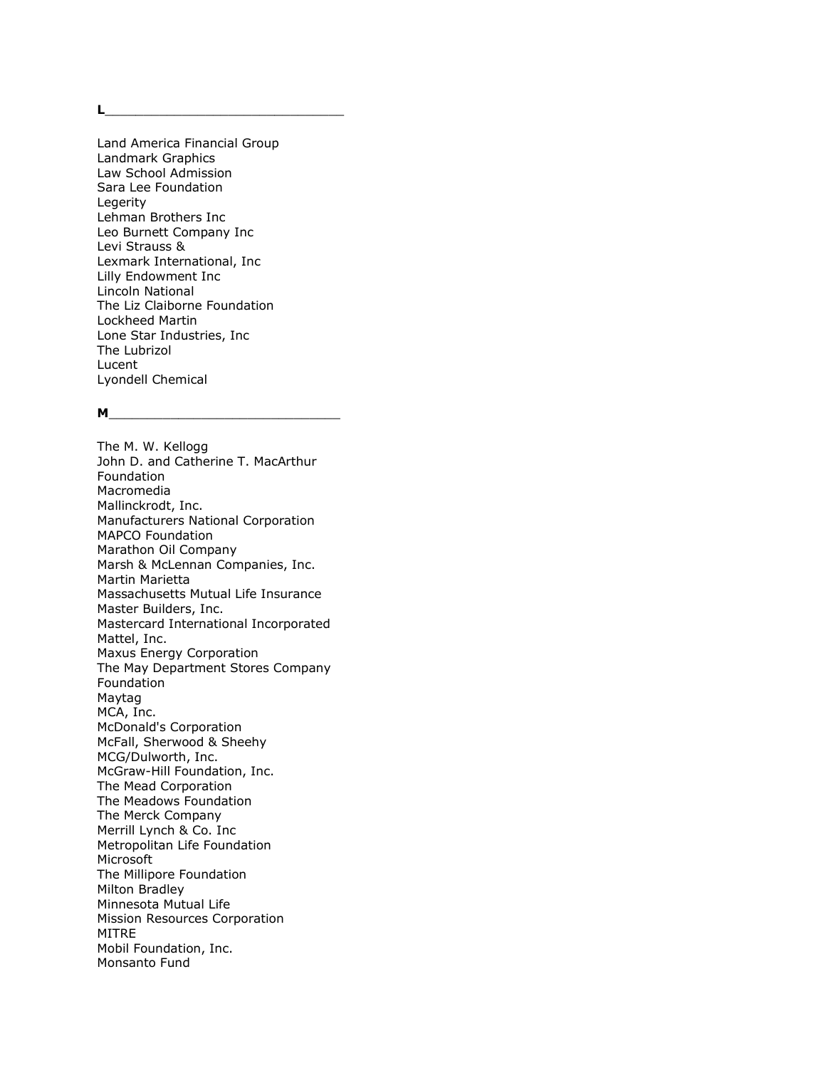**L**\_\_\_\_\_\_\_\_\_\_\_\_\_\_\_\_\_\_\_\_\_\_\_\_\_\_\_\_\_\_\_

Land America Financial Group Landmark Graphics Law School Admission Sara Lee Foundation Legerity Lehman Brothers Inc Leo Burnett Company Inc Levi Strauss & Lexmark International, Inc Lilly Endowment Inc Lincoln National The Liz Claiborne Foundation Lockheed Martin Lone Star Industries, Inc The Lubrizol Lucent Lyondell Chemical

### $M_{\odot}$

The M. W. Kellogg John D. and Catherine T. MacArthur Foundation Macromedia Mallinckrodt, Inc. Manufacturers National Corporation MAPCO Foundation Marathon Oil Company Marsh & McLennan Companies, Inc. Martin Marietta Massachusetts Mutual Life Insurance Master Builders, Inc. Mastercard International Incorporated Mattel, Inc. Maxus Energy Corporation The May Department Stores Company Foundation Maytag MCA, Inc. McDonald's Corporation McFall, Sherwood & Sheehy MCG/Dulworth, Inc. McGraw-Hill Foundation, Inc. The Mead Corporation The Meadows Foundation The Merck Company Merrill Lynch & Co. Inc Metropolitan Life Foundation Microsoft The Millipore Foundation Milton Bradley Minnesota Mutual Life Mission Resources Corporation MITRE Mobil Foundation, Inc. Monsanto Fund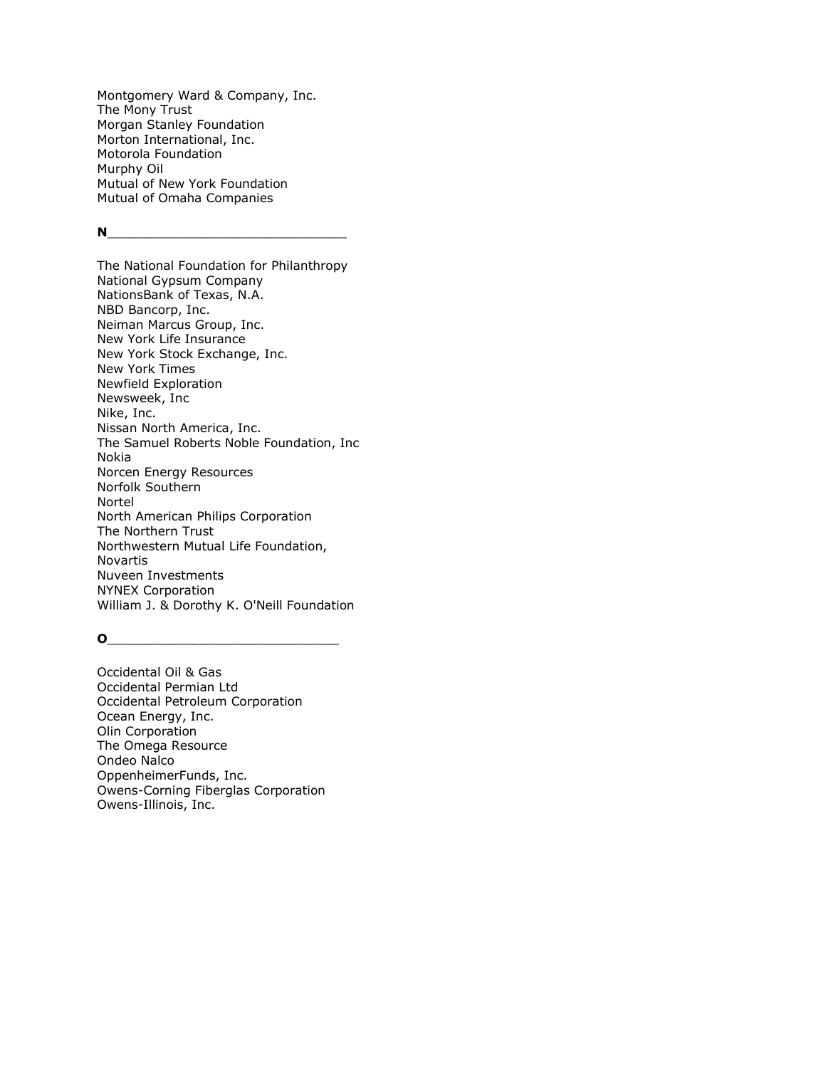Montgomery Ward & Company, Inc. The Mony Trust Morgan Stanley Foundation Morton International, Inc. Motorola Foundation Murphy Oil Mutual of New York Foundation Mutual of Omaha Companies

## **N**

The National Foundation for Philanthropy National Gypsum Company NationsBank of Texas, N.A. NBD Bancorp, Inc. Neiman Marcus Group, Inc. New York Life Insurance New York Stock Exchange, Inc. New York Times Newfield Exploration Newsweek, Inc Nike, Inc. Nissan North America, Inc. The Samuel Roberts Noble Foundation, Inc Nokia Norcen Energy Resources Norfolk Southern Nortel North American Philips Corporation The Northern Trust Northwestern Mutual Life Foundation, Novartis Nuveen Investments NYNEX Corporation William J. & Dorothy K. O'Neill Foundation

### $\overline{\mathbf{O}}$

Occidental Oil & Gas Occidental Permian Ltd Occidental Petroleum Corporation Ocean Energy, Inc. Olin Corporation The Omega Resource Ondeo Nalco OppenheimerFunds, Inc. Owens-Corning Fiberglas Corporation Owens-Illinois, Inc.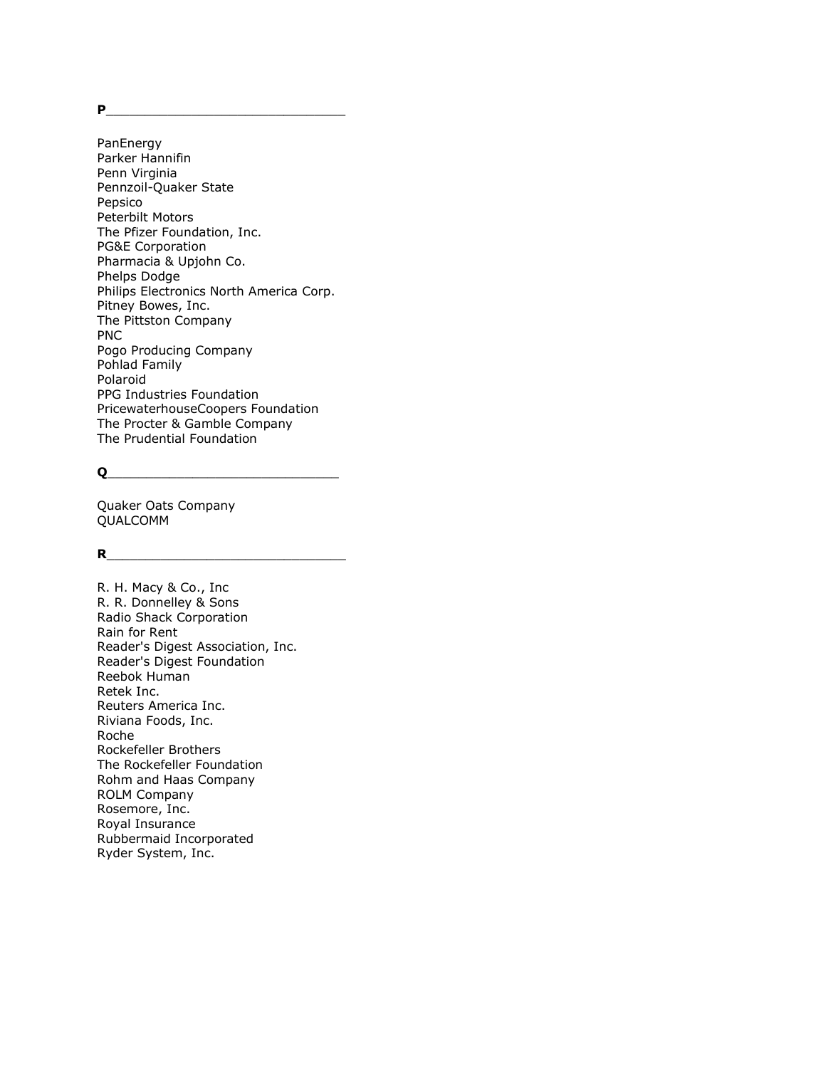**P** 

PanEnergy Parker Hannifin Penn Virginia Pennzoil-Quaker State Pepsico Peterbilt Motors The Pfizer Foundation, Inc. PG&E Corporation Pharmacia & Upjohn Co. Phelps Dodge Philips Electronics North America Corp. Pitney Bowes, Inc. The Pittston Company PNC Pogo Producing Company Pohlad Family Polaroid PPG Industries Foundation PricewaterhouseCoopers Foundation The Procter & Gamble Company The Prudential Foundation

# **Q**\_\_\_\_\_\_\_\_\_\_\_\_\_\_\_\_\_\_\_\_\_\_\_\_\_\_\_\_\_\_

Quaker Oats Company QUALCOMM

# **R**

R. H. Macy & Co., Inc R. R. Donnelley & Sons Radio Shack Corporation Rain for Rent Reader's Digest Association, Inc. Reader's Digest Foundation Reebok Human Retek Inc. Reuters America Inc. Riviana Foods, Inc. Roche Rockefeller Brothers The Rockefeller Foundation Rohm and Haas Company ROLM Company Rosemore, Inc. Royal Insurance Rubbermaid Incorporated Ryder System, Inc.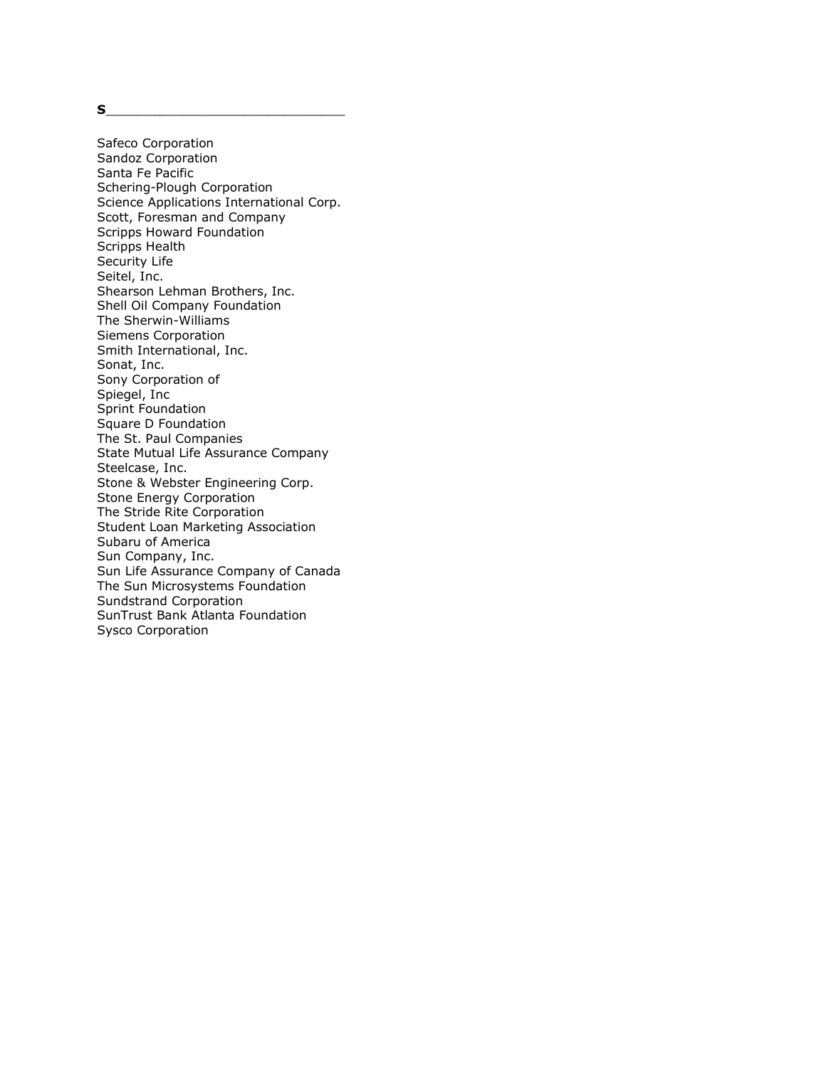**S**\_\_\_\_\_\_\_\_\_\_\_\_\_\_\_\_\_\_\_\_\_\_\_\_\_\_\_\_\_\_\_

Safeco Corporation Sandoz Corporation Santa Fe Pacific Schering-Plough Corporation Science Applications International Corp. Scott, Foresman and Company Scripps Howard Foundation Scripps Health Security Life Seitel, Inc. Shearson Lehman Brothers, Inc. Shell Oil Company Foundation The Sherwin-Williams Siemens Corporation Smith International, Inc. Sonat, Inc. Sony Corporation of Spiegel, Inc Sprint Foundation Square D Foundation The St. Paul Companies State Mutual Life Assurance Company Steelcase, Inc. Stone & Webster Engineering Corp. Stone Energy Corporation The Stride Rite Corporation Student Loan Marketing Association Subaru of America Sun Company, Inc. Sun Life Assurance Company of Canada The Sun Microsystems Foundation Sundstrand Corporation SunTrust Bank Atlanta Foundation Sysco Corporation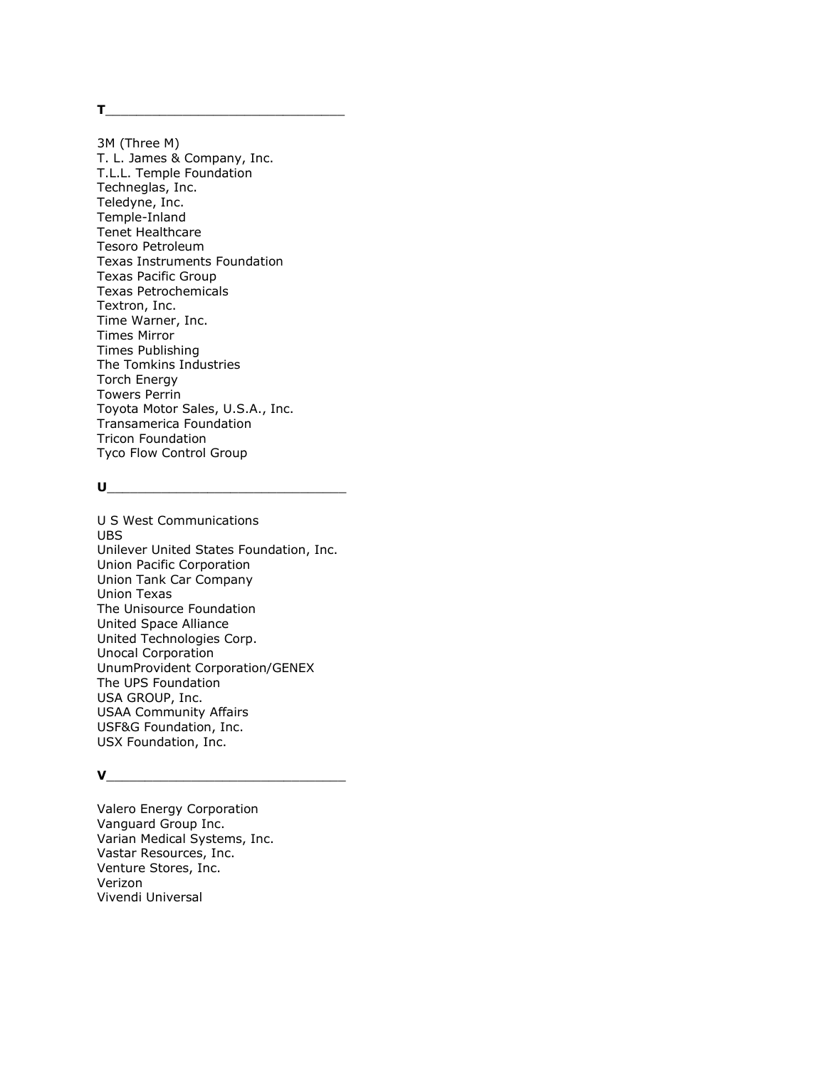**T**\_\_\_\_\_\_\_\_\_\_\_\_\_\_\_\_\_\_\_\_\_\_\_\_\_\_\_\_\_\_\_

3M (Three M) T. L. James & Company, Inc. T.L.L. Temple Foundation Techneglas, Inc. Teledyne, Inc. Temple-Inland Tenet Healthcare Tesoro Petroleum Texas Instruments Foundation Texas Pacific Group Texas Petrochemicals Textron, Inc. Time Warner, Inc. Times Mirror Times Publishing The Tomkins Industries Torch Energy Towers Perrin Toyota Motor Sales, U.S.A., Inc. Transamerica Foundation Tricon Foundation Tyco Flow Control Group

#### $\mathsf{U}$

U S West Communications UBS Unilever United States Foundation, Inc. Union Pacific Corporation Union Tank Car Company Union Texas The Unisource Foundation United Space Alliance United Technologies Corp. Unocal Corporation UnumProvident Corporation/GENEX The UPS Foundation USA GROUP, Inc. USAA Community Affairs USF&G Foundation, Inc. USX Foundation, Inc.

# ${\sf v}$

Valero Energy Corporation Vanguard Group Inc. Varian Medical Systems, Inc. Vastar Resources, Inc. Venture Stores, Inc. Verizon Vivendi Universal